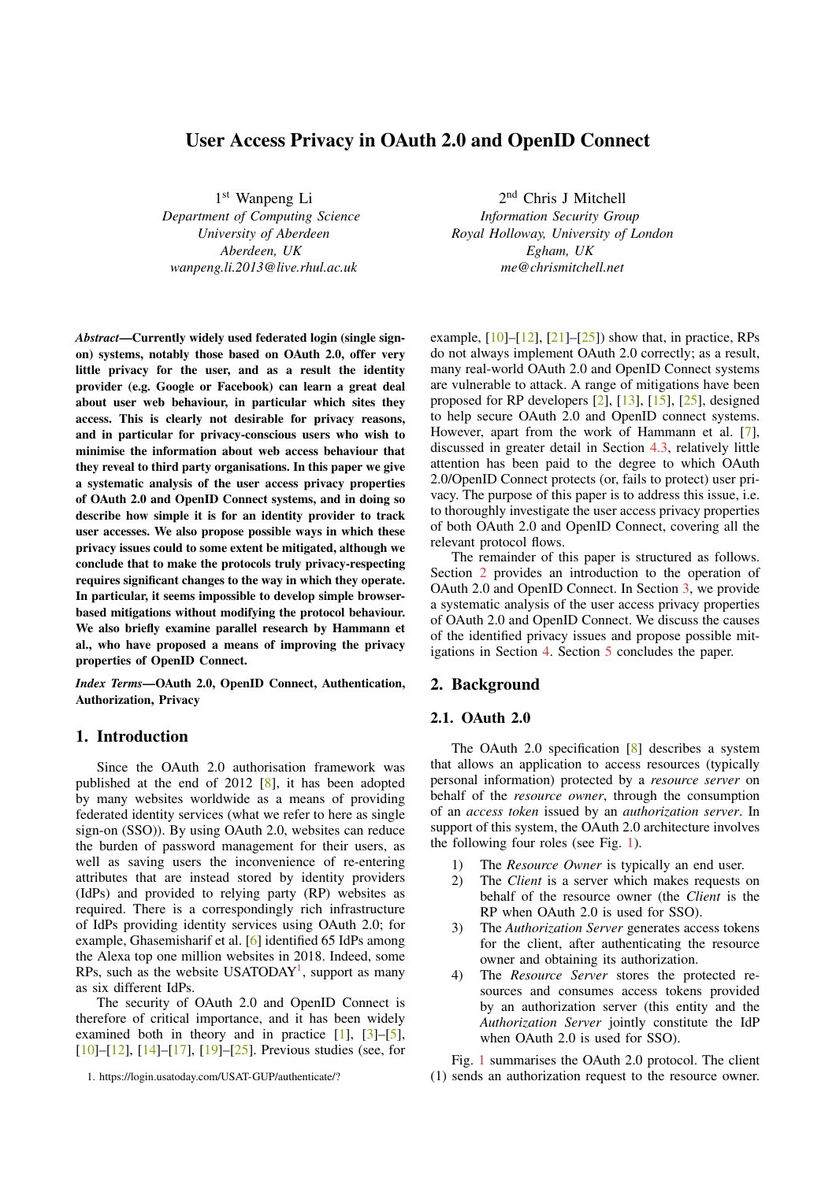# User Access Privacy in OAuth 2.0 and OpenID Connect

1 st Wanpeng Li

*Department of Computing Science University of Aberdeen Aberdeen, UK wanpeng.li.2013@live.rhul.ac.uk*

*Abstract*—Currently widely used federated login (single signon) systems, notably those based on OAuth 2.0, offer very little privacy for the user, and as a result the identity provider (e.g. Google or Facebook) can learn a great deal about user web behaviour, in particular which sites they access. This is clearly not desirable for privacy reasons, and in particular for privacy-conscious users who wish to minimise the information about web access behaviour that they reveal to third party organisations. In this paper we give a systematic analysis of the user access privacy properties of OAuth 2.0 and OpenID Connect systems, and in doing so describe how simple it is for an identity provider to track user accesses. We also propose possible ways in which these privacy issues could to some extent be mitigated, although we conclude that to make the protocols truly privacy-respecting requires significant changes to the way in which they operate. In particular, it seems impossible to develop simple browserbased mitigations without modifying the protocol behaviour. We also briefly examine parallel research by Hammann et al., who have proposed a means of improving the privacy properties of OpenID Connect.

*Index Terms*—OAuth 2.0, OpenID Connect, Authentication, Authorization, Privacy

# 1. Introduction

Since the OAuth 2.0 authorisation framework was published at the end of 2012 [\[8\]](#page-8-0), it has been adopted by many websites worldwide as a means of providing federated identity services (what we refer to here as single sign-on (SSO)). By using OAuth 2.0, websites can reduce the burden of password management for their users, as well as saving users the inconvenience of re-entering attributes that are instead stored by identity providers (IdPs) and provided to relying party (RP) websites as required. There is a correspondingly rich infrastructure of IdPs providing identity services using OAuth 2.0; for example, Ghasemisharif et al. [\[6\]](#page-8-1) identified 65 IdPs among the Alexa top one million websites in 2018. Indeed, some RPs, such as the website USATODAY<sup>[1](#page-0-0)</sup>, support as many as six different IdPs.

The security of OAuth 2.0 and OpenID Connect is therefore of critical importance, and it has been widely examined both in theory and in practice  $[1]$ ,  $[3]-[5]$  $[3]-[5]$  $[3]-[5]$ , [\[10\]](#page-8-5)–[\[12\]](#page-8-6), [\[14\]](#page-8-7)–[\[17\]](#page-8-8), [\[19\]](#page-8-9)–[\[25\]](#page-8-10). Previous studies (see, for

2 nd Chris J Mitchell *Information Security Group Royal Holloway, University of London Egham, UK me@chrismitchell.net*

example,  $[10]$ – $[12]$ ,  $[21]$ – $[25]$ ) show that, in practice, RPs do not always implement OAuth 2.0 correctly; as a result, many real-world OAuth 2.0 and OpenID Connect systems are vulnerable to attack. A range of mitigations have been proposed for RP developers [\[2\]](#page-8-12), [\[13\]](#page-8-13), [\[15\]](#page-8-14), [\[25\]](#page-8-10), designed to help secure OAuth 2.0 and OpenID connect systems. However, apart from the work of Hammann et al. [\[7\]](#page-8-15), discussed in greater detail in Section [4.3,](#page-6-0) relatively little attention has been paid to the degree to which OAuth 2.0/OpenID Connect protects (or, fails to protect) user privacy. The purpose of this paper is to address this issue, i.e. to thoroughly investigate the user access privacy properties of both OAuth 2.0 and OpenID Connect, covering all the relevant protocol flows.

The remainder of this paper is structured as follows. Section [2](#page-0-1) provides an introduction to the operation of OAuth 2.0 and OpenID Connect. In Section [3,](#page-3-0) we provide a systematic analysis of the user access privacy properties of OAuth 2.0 and OpenID Connect. We discuss the causes of the identified privacy issues and propose possible mitigations in Section [4.](#page-5-0) Section [5](#page-7-0) concludes the paper.

# <span id="page-0-1"></span>2. Background

### 2.1. OAuth 2.0

The OAuth 2.0 specification [\[8\]](#page-8-0) describes a system that allows an application to access resources (typically personal information) protected by a *resource server* on behalf of the *resource owner*, through the consumption of an *access token* issued by an *authorization server*. In support of this system, the OAuth 2.0 architecture involves the following four roles (see Fig. [1\)](#page-1-0).

- 1) The *Resource Owner* is typically an end user.
- 2) The *Client* is a server which makes requests on behalf of the resource owner (the *Client* is the RP when OAuth 2.0 is used for SSO).
- 3) The *Authorization Server* generates access tokens for the client, after authenticating the resource owner and obtaining its authorization.
- 4) The *Resource Server* stores the protected resources and consumes access tokens provided by an authorization server (this entity and the *Authorization Server* jointly constitute the IdP when OAuth 2.0 is used for SSO).

Fig. [1](#page-1-0) summarises the OAuth 2.0 protocol. The client (1) sends an authorization request to the resource owner.

<span id="page-0-0"></span><sup>1.</sup> <https://login.usatoday.com/USAT-GUP/authenticate/?>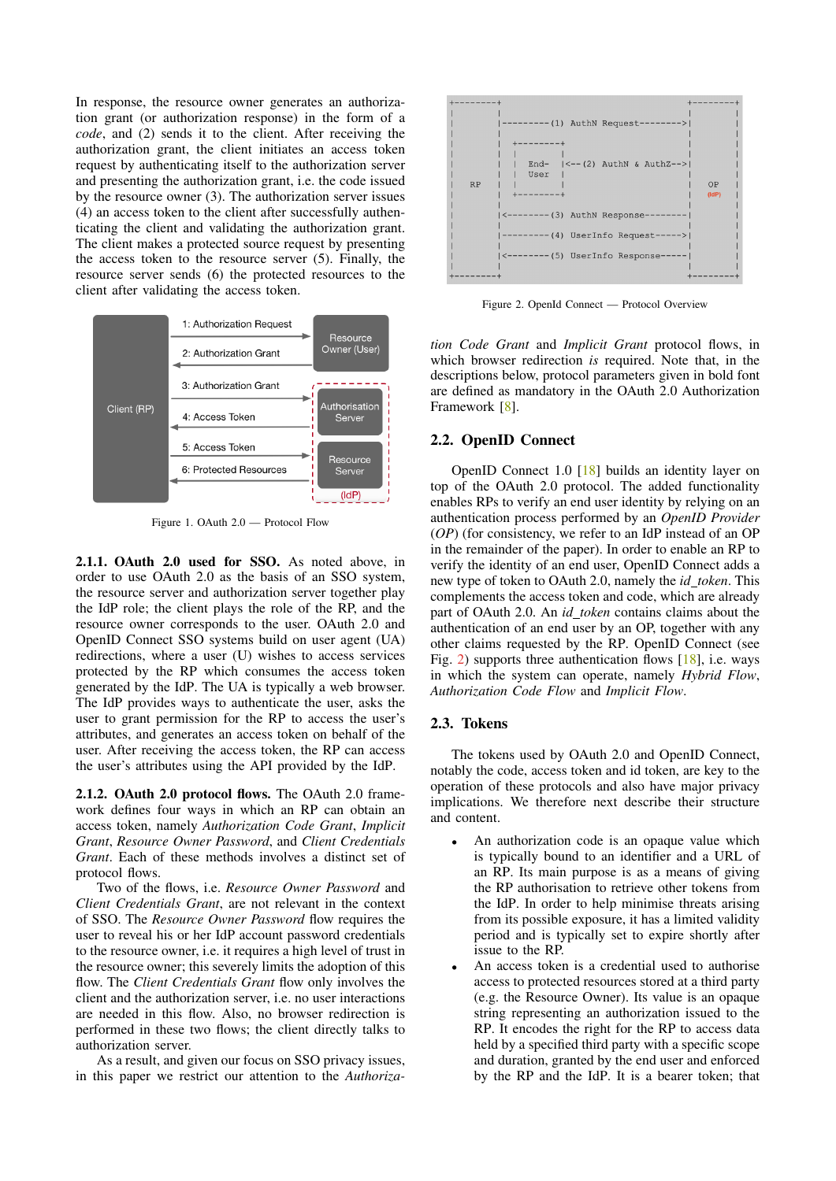In response, the resource owner generates an authorization grant (or authorization response) in the form of a *code*, and (2) sends it to the client. After receiving the authorization grant, the client initiates an access token request by authenticating itself to the authorization server and presenting the authorization grant, i.e. the code issued by the resource owner (3). The authorization server issues (4) an access token to the client after successfully authenticating the client and validating the authorization grant. The client makes a protected source request by presenting the access token to the resource server (5). Finally, the resource server sends (6) the protected resources to the client after validating the access token.



<span id="page-1-0"></span>Figure 1. OAuth 2.0 — Protocol Flow

2.1.1. OAuth 2.0 used for SSO. As noted above, in order to use OAuth 2.0 as the basis of an SSO system, the resource server and authorization server together play the IdP role; the client plays the role of the RP, and the resource owner corresponds to the user. OAuth 2.0 and OpenID Connect SSO systems build on user agent (UA) redirections, where a user (U) wishes to access services protected by the RP which consumes the access token generated by the IdP. The UA is typically a web browser. The IdP provides ways to authenticate the user, asks the user to grant permission for the RP to access the user's attributes, and generates an access token on behalf of the user. After receiving the access token, the RP can access the user's attributes using the API provided by the IdP.

2.1.2. OAuth 2.0 protocol flows. The OAuth 2.0 framework defines four ways in which an RP can obtain an access token, namely *Authorization Code Grant*, *Implicit Grant*, *Resource Owner Password*, and *Client Credentials Grant*. Each of these methods involves a distinct set of protocol flows.

Two of the flows, i.e. *Resource Owner Password* and *Client Credentials Grant*, are not relevant in the context of SSO. The *Resource Owner Password* flow requires the user to reveal his or her IdP account password credentials to the resource owner, i.e. it requires a high level of trust in the resource owner; this severely limits the adoption of this flow. The *Client Credentials Grant* flow only involves the client and the authorization server, i.e. no user interactions are needed in this flow. Also, no browser redirection is performed in these two flows; the client directly talks to authorization server.

As a result, and given our focus on SSO privacy issues, in this paper we restrict our attention to the *Authoriza-*



<span id="page-1-1"></span>Figure 2. OpenId Connect — Protocol Overview

*tion Code Grant* and *Implicit Grant* protocol flows, in which browser redirection *is* required. Note that, in the descriptions below, protocol parameters given in bold font are defined as mandatory in the OAuth 2.0 Authorization Framework [\[8\]](#page-8-0).

#### <span id="page-1-2"></span>2.2. OpenID Connect

OpenID Connect 1.0 [\[18\]](#page-8-16) builds an identity layer on top of the OAuth 2.0 protocol. The added functionality enables RPs to verify an end user identity by relying on an authentication process performed by an *OpenID Provider* (*OP*) (for consistency, we refer to an IdP instead of an OP in the remainder of the paper). In order to enable an RP to verify the identity of an end user, OpenID Connect adds a new type of token to OAuth 2.0, namely the *id token*. This complements the access token and code, which are already part of OAuth 2.0. An *id token* contains claims about the authentication of an end user by an OP, together with any other claims requested by the RP. OpenID Connect (see Fig. [2\)](#page-1-1) supports three authentication flows [\[18\]](#page-8-16), i.e. ways in which the system can operate, namely *Hybrid Flow*, *Authorization Code Flow* and *Implicit Flow*.

#### 2.3. Tokens

The tokens used by OAuth 2.0 and OpenID Connect, notably the code, access token and id token, are key to the operation of these protocols and also have major privacy implications. We therefore next describe their structure and content.

- An authorization code is an opaque value which is typically bound to an identifier and a URL of an RP. Its main purpose is as a means of giving the RP authorisation to retrieve other tokens from the IdP. In order to help minimise threats arising from its possible exposure, it has a limited validity period and is typically set to expire shortly after issue to the RP.
- An access token is a credential used to authorise access to protected resources stored at a third party (e.g. the Resource Owner). Its value is an opaque string representing an authorization issued to the RP. It encodes the right for the RP to access data held by a specified third party with a specific scope and duration, granted by the end user and enforced by the RP and the IdP. It is a bearer token; that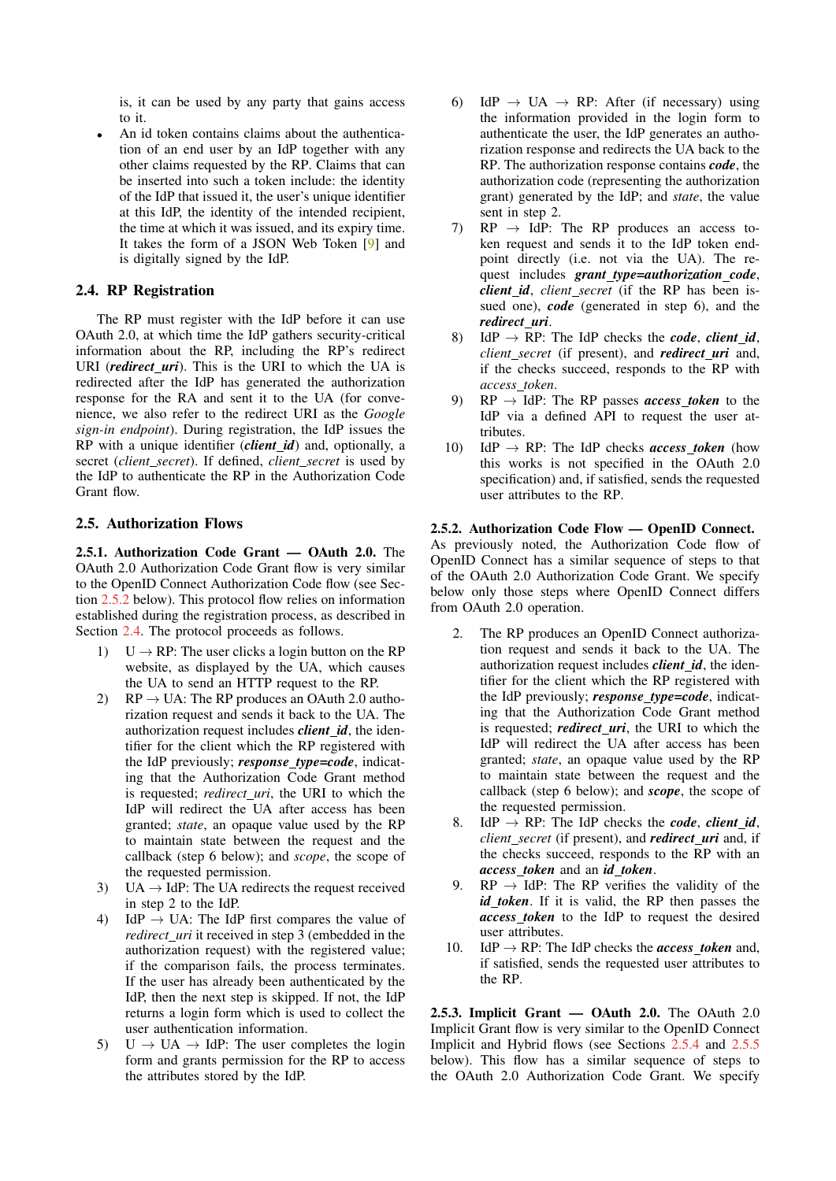is, it can be used by any party that gains access to it.

An id token contains claims about the authentication of an end user by an IdP together with any other claims requested by the RP. Claims that can be inserted into such a token include: the identity of the IdP that issued it, the user's unique identifier at this IdP, the identity of the intended recipient, the time at which it was issued, and its expiry time. It takes the form of a JSON Web Token [\[9\]](#page-8-17) and is digitally signed by the IdP.

## <span id="page-2-1"></span>2.4. RP Registration

The RP must register with the IdP before it can use OAuth 2.0, at which time the IdP gathers security-critical information about the RP, including the RP's redirect URI (*redirect uri*). This is the URI to which the UA is redirected after the IdP has generated the authorization response for the RA and sent it to the UA (for convenience, we also refer to the redirect URI as the *Google sign-in endpoint*). During registration, the IdP issues the RP with a unique identifier (*client id*) and, optionally, a secret (*client secret*). If defined, *client secret* is used by the IdP to authenticate the RP in the Authorization Code Grant flow.

## 2.5. Authorization Flows

<span id="page-2-2"></span>2.5.1. Authorization Code Grant — OAuth 2.0. The OAuth 2.0 Authorization Code Grant flow is very similar to the OpenID Connect Authorization Code flow (see Section [2.5.2](#page-2-0) below). This protocol flow relies on information established during the registration process, as described in Section [2.4.](#page-2-1) The protocol proceeds as follows.

- 1)  $U \rightarrow RP$ : The user clicks a login button on the RP website, as displayed by the UA, which causes the UA to send an HTTP request to the RP.
- 2)  $RP \rightarrow UA$ : The RP produces an OAuth 2.0 authorization request and sends it back to the UA. The authorization request includes *client id*, the identifier for the client which the RP registered with the IdP previously; *response type=code*, indicating that the Authorization Code Grant method is requested; *redirect uri*, the URI to which the IdP will redirect the UA after access has been granted; *state*, an opaque value used by the RP to maintain state between the request and the callback (step 6 below); and *scope*, the scope of the requested permission.
- 3) UA  $\rightarrow$  IdP: The UA redirects the request received in step 2 to the IdP.
- 4) IdP  $\rightarrow$  UA: The IdP first compares the value of *redirect uri* it received in step 3 (embedded in the authorization request) with the registered value; if the comparison fails, the process terminates. If the user has already been authenticated by the IdP, then the next step is skipped. If not, the IdP returns a login form which is used to collect the user authentication information.
- 5)  $U \rightarrow UA \rightarrow IdP$ : The user completes the login form and grants permission for the RP to access the attributes stored by the IdP.
- 6) IdP  $\rightarrow$  UA  $\rightarrow$  RP: After (if necessary) using the information provided in the login form to authenticate the user, the IdP generates an authorization response and redirects the UA back to the RP. The authorization response contains *code*, the authorization code (representing the authorization grant) generated by the IdP; and *state*, the value sent in step 2.
- 7)  $RP \rightarrow IdP$ : The RP produces an access token request and sends it to the IdP token endpoint directly (i.e. not via the UA). The request includes *grant type=authorization code*, *client id*, *client secret* (if the RP has been issued one), *code* (generated in step 6), and the *redirect uri*.
- 8) IdP  $\rightarrow$  RP: The IdP checks the *code*, *client id*, *client secret* (if present), and *redirect uri* and, if the checks succeed, responds to the RP with *access token*.
- 9)  $RP \rightarrow IdP$ : The RP passes *access token* to the IdP via a defined API to request the user attributes.
- 10) IdP  $\rightarrow$  RP: The IdP checks *access\_token* (how this works is not specified in the OAuth 2.0 specification) and, if satisfied, sends the requested user attributes to the RP.

### <span id="page-2-0"></span>2.5.2. Authorization Code Flow — OpenID Connect.

As previously noted, the Authorization Code flow of OpenID Connect has a similar sequence of steps to that of the OAuth 2.0 Authorization Code Grant. We specify below only those steps where OpenID Connect differs from OAuth 2.0 operation.

- 2. The RP produces an OpenID Connect authorization request and sends it back to the UA. The authorization request includes *client id*, the identifier for the client which the RP registered with the IdP previously; *response type=code*, indicating that the Authorization Code Grant method is requested; *redirect uri*, the URI to which the IdP will redirect the UA after access has been granted; *state*, an opaque value used by the RP to maintain state between the request and the callback (step 6 below); and *scope*, the scope of the requested permission.
- $\text{IdP} \rightarrow \text{RP}$ : The IdP checks the *code*, *client id*, *client secret* (if present), and *redirect uri* and, if the checks succeed, responds to the RP with an *access token* and an *id token*.
- 9.  $RP \rightarrow IdP$ : The RP verifies the validity of the *id token*. If it is valid, the RP then passes the *access token* to the IdP to request the desired user attributes.
- 10. IdP  $\rightarrow$  RP: The IdP checks the *access token* and, if satisfied, sends the requested user attributes to the RP.

2.5.3. Implicit Grant — OAuth 2.0. The OAuth 2.0 Implicit Grant flow is very similar to the OpenID Connect Implicit and Hybrid flows (see Sections [2.5.4](#page-3-1) and [2.5.5](#page-3-2) below). This flow has a similar sequence of steps to the OAuth 2.0 Authorization Code Grant. We specify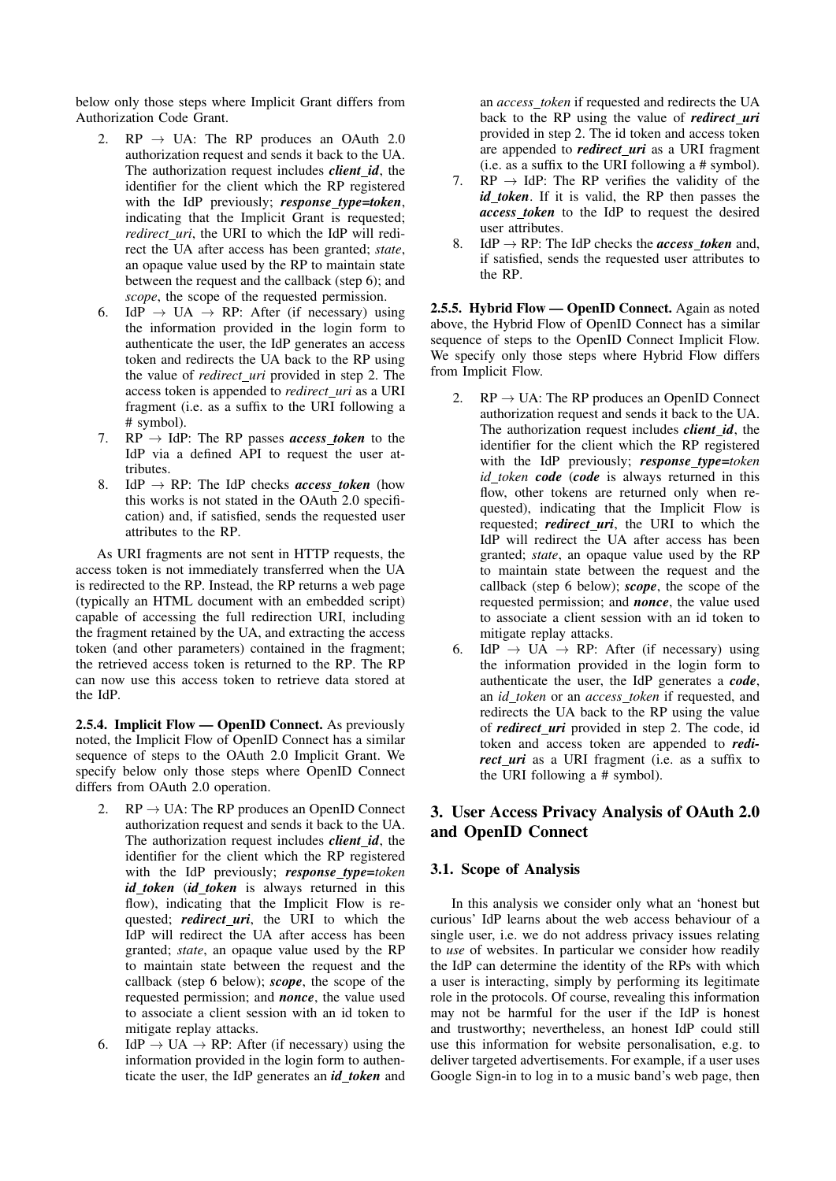below only those steps where Implicit Grant differs from Authorization Code Grant.

- $RP \rightarrow UA$ : The RP produces an OAuth 2.0 authorization request and sends it back to the UA. The authorization request includes *client id*, the identifier for the client which the RP registered with the IdP previously; *response type=token*, indicating that the Implicit Grant is requested; *redirect uri*, the URI to which the IdP will redirect the UA after access has been granted; *state*, an opaque value used by the RP to maintain state between the request and the callback (step 6); and *scope*, the scope of the requested permission.
- 6. IdP  $\rightarrow$  UA  $\rightarrow$  RP: After (if necessary) using the information provided in the login form to authenticate the user, the IdP generates an access token and redirects the UA back to the RP using the value of *redirect\_uri* provided in step 2. The access token is appended to *redirect uri* as a URI fragment (i.e. as a suffix to the URI following a # symbol).
- 7.  $RP \rightarrow IdP$ : The RP passes *access token* to the IdP via a defined API to request the user attributes.
- 8. IdP  $\rightarrow$  RP: The IdP checks *access token* (how this works is not stated in the OAuth 2.0 specification) and, if satisfied, sends the requested user attributes to the RP.

As URI fragments are not sent in HTTP requests, the access token is not immediately transferred when the UA is redirected to the RP. Instead, the RP returns a web page (typically an HTML document with an embedded script) capable of accessing the full redirection URI, including the fragment retained by the UA, and extracting the access token (and other parameters) contained in the fragment; the retrieved access token is returned to the RP. The RP can now use this access token to retrieve data stored at the IdP.

<span id="page-3-1"></span>2.5.4. Implicit Flow — OpenID Connect. As previously noted, the Implicit Flow of OpenID Connect has a similar sequence of steps to the OAuth 2.0 Implicit Grant. We specify below only those steps where OpenID Connect differs from OAuth 2.0 operation.

- 2.  $RP \rightarrow UA$ : The RP produces an OpenID Connect authorization request and sends it back to the UA. The authorization request includes *client id*, the identifier for the client which the RP registered with the IdP previously; *response type=token id token* (*id token* is always returned in this flow), indicating that the Implicit Flow is requested; *redirect\_uri*, the URI to which the IdP will redirect the UA after access has been granted; *state*, an opaque value used by the RP to maintain state between the request and the callback (step 6 below); *scope*, the scope of the requested permission; and *nonce*, the value used to associate a client session with an id token to mitigate replay attacks.
- 6. IdP  $\rightarrow$  UA  $\rightarrow$  RP: After (if necessary) using the information provided in the login form to authenticate the user, the IdP generates an *id token* and

an *access token* if requested and redirects the UA back to the RP using the value of *redirect uri* provided in step 2. The id token and access token are appended to *redirect uri* as a URI fragment (i.e. as a suffix to the URI following a # symbol).

- 7.  $RP \rightarrow IdP$ : The RP verifies the validity of the *id token*. If it is valid, the RP then passes the *access token* to the IdP to request the desired user attributes.
- 8. IdP  $\rightarrow$  RP: The IdP checks the *access token* and, if satisfied, sends the requested user attributes to the RP.

<span id="page-3-2"></span>2.5.5. Hybrid Flow — OpenID Connect. Again as noted above, the Hybrid Flow of OpenID Connect has a similar sequence of steps to the OpenID Connect Implicit Flow. We specify only those steps where Hybrid Flow differs from Implicit Flow.

- 2.  $RP \rightarrow UA$ : The RP produces an OpenID Connect authorization request and sends it back to the UA. The authorization request includes *client id*, the identifier for the client which the RP registered with the IdP previously; *response type=token id token code* (*code* is always returned in this flow, other tokens are returned only when requested), indicating that the Implicit Flow is requested; *redirect uri*, the URI to which the IdP will redirect the UA after access has been granted; *state*, an opaque value used by the RP to maintain state between the request and the callback (step 6 below); *scope*, the scope of the requested permission; and *nonce*, the value used to associate a client session with an id token to mitigate replay attacks.
- 6. IdP  $\rightarrow$  UA  $\rightarrow$  RP: After (if necessary) using the information provided in the login form to authenticate the user, the IdP generates a *code*, an *id token* or an *access token* if requested, and redirects the UA back to the RP using the value of *redirect uri* provided in step 2. The code, id token and access token are appended to *redirect uri* as a URI fragment (i.e. as a suffix to the URI following a # symbol).

# <span id="page-3-0"></span>3. User Access Privacy Analysis of OAuth 2.0 and OpenID Connect

# 3.1. Scope of Analysis

In this analysis we consider only what an 'honest but curious' IdP learns about the web access behaviour of a single user, i.e. we do not address privacy issues relating to *use* of websites. In particular we consider how readily the IdP can determine the identity of the RPs with which a user is interacting, simply by performing its legitimate role in the protocols. Of course, revealing this information may not be harmful for the user if the IdP is honest and trustworthy; nevertheless, an honest IdP could still use this information for website personalisation, e.g. to deliver targeted advertisements. For example, if a user uses Google Sign-in to log in to a music band's web page, then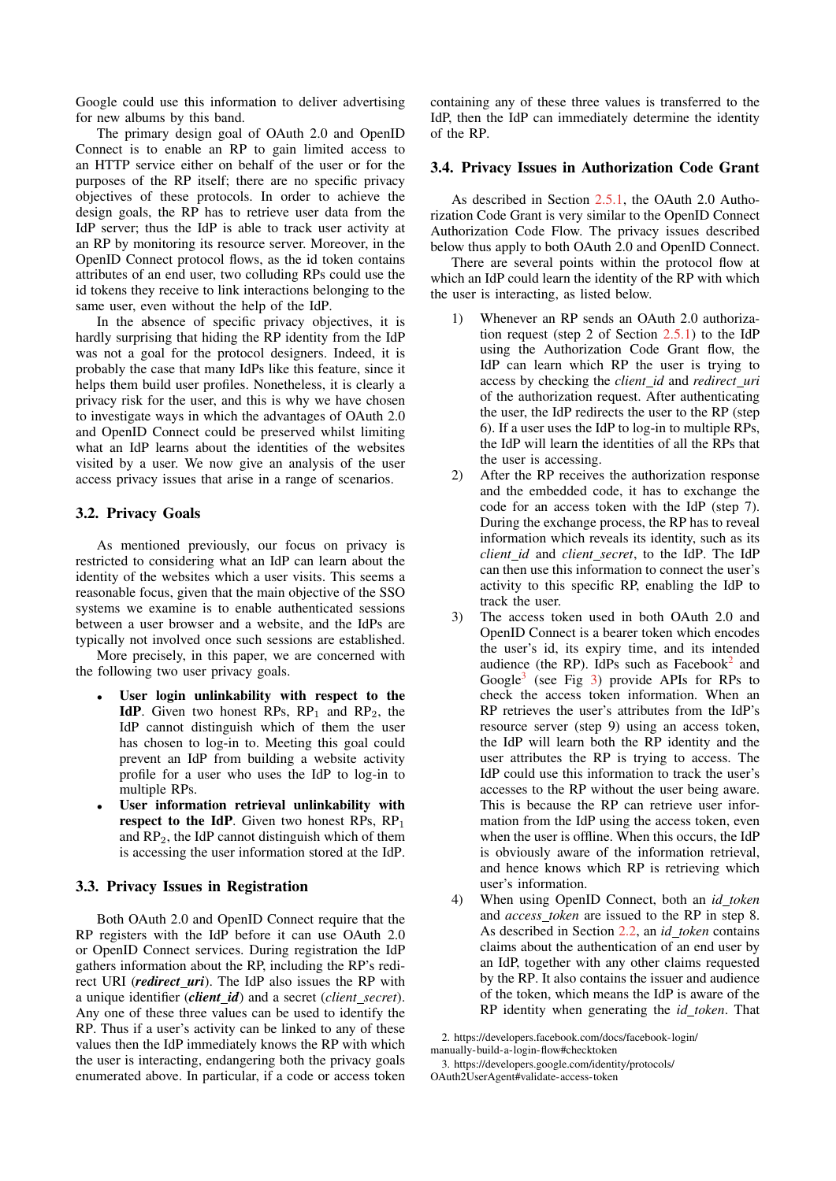Google could use this information to deliver advertising for new albums by this band.

The primary design goal of OAuth 2.0 and OpenID Connect is to enable an RP to gain limited access to an HTTP service either on behalf of the user or for the purposes of the RP itself; there are no specific privacy objectives of these protocols. In order to achieve the design goals, the RP has to retrieve user data from the IdP server; thus the IdP is able to track user activity at an RP by monitoring its resource server. Moreover, in the OpenID Connect protocol flows, as the id token contains attributes of an end user, two colluding RPs could use the id tokens they receive to link interactions belonging to the same user, even without the help of the IdP.

In the absence of specific privacy objectives, it is hardly surprising that hiding the RP identity from the IdP was not a goal for the protocol designers. Indeed, it is probably the case that many IdPs like this feature, since it helps them build user profiles. Nonetheless, it is clearly a privacy risk for the user, and this is why we have chosen to investigate ways in which the advantages of OAuth 2.0 and OpenID Connect could be preserved whilst limiting what an IdP learns about the identities of the websites visited by a user. We now give an analysis of the user access privacy issues that arise in a range of scenarios.

## <span id="page-4-2"></span>3.2. Privacy Goals

As mentioned previously, our focus on privacy is restricted to considering what an IdP can learn about the identity of the websites which a user visits. This seems a reasonable focus, given that the main objective of the SSO systems we examine is to enable authenticated sessions between a user browser and a website, and the IdPs are typically not involved once such sessions are established.

More precisely, in this paper, we are concerned with the following two user privacy goals.

- User login unlinkability with respect to the IdP. Given two honest RPs,  $RP_1$  and  $RP_2$ , the IdP cannot distinguish which of them the user has chosen to log-in to. Meeting this goal could prevent an IdP from building a website activity profile for a user who uses the IdP to log-in to multiple RPs.
- User information retrieval unlinkability with respect to the IdP. Given two honest RPs,  $RP_1$ and  $RP<sub>2</sub>$ , the IdP cannot distinguish which of them is accessing the user information stored at the IdP.

# <span id="page-4-4"></span>3.3. Privacy Issues in Registration

Both OAuth 2.0 and OpenID Connect require that the RP registers with the IdP before it can use OAuth 2.0 or OpenID Connect services. During registration the IdP gathers information about the RP, including the RP's redirect URI (*redirect\_uri*). The IdP also issues the RP with a unique identifier (*client id*) and a secret (*client secret*). Any one of these three values can be used to identify the RP. Thus if a user's activity can be linked to any of these values then the IdP immediately knows the RP with which the user is interacting, endangering both the privacy goals enumerated above. In particular, if a code or access token

containing any of these three values is transferred to the IdP, then the IdP can immediately determine the identity of the RP.

#### <span id="page-4-3"></span>3.4. Privacy Issues in Authorization Code Grant

As described in Section [2.5.1,](#page-2-2) the OAuth 2.0 Authorization Code Grant is very similar to the OpenID Connect Authorization Code Flow. The privacy issues described below thus apply to both OAuth 2.0 and OpenID Connect.

There are several points within the protocol flow at which an IdP could learn the identity of the RP with which the user is interacting, as listed below.

- 1) Whenever an RP sends an OAuth 2.0 authorization request (step 2 of Section [2.5.1\)](#page-2-2) to the IdP using the Authorization Code Grant flow, the IdP can learn which RP the user is trying to access by checking the *client id* and *redirect uri* of the authorization request. After authenticating the user, the IdP redirects the user to the RP (step 6). If a user uses the IdP to log-in to multiple RPs, the IdP will learn the identities of all the RPs that the user is accessing.
- 2) After the RP receives the authorization response and the embedded code, it has to exchange the code for an access token with the IdP (step 7). During the exchange process, the RP has to reveal information which reveals its identity, such as its *client id* and *client secret*, to the IdP. The IdP can then use this information to connect the user's activity to this specific RP, enabling the IdP to track the user.
- 3) The access token used in both OAuth 2.0 and OpenID Connect is a bearer token which encodes the user's id, its expiry time, and its intended audience (the RP). IdPs such as Facebook<sup>[2](#page-4-0)</sup> and Google<sup>[3](#page-4-1)</sup> (see Fig [3\)](#page-6-1) provide APIs for RPs to check the access token information. When an RP retrieves the user's attributes from the IdP's resource server (step 9) using an access token, the IdP will learn both the RP identity and the user attributes the RP is trying to access. The IdP could use this information to track the user's accesses to the RP without the user being aware. This is because the RP can retrieve user information from the IdP using the access token, even when the user is offline. When this occurs, the IdP is obviously aware of the information retrieval, and hence knows which RP is retrieving which user's information.
- 4) When using OpenID Connect, both an *id token* and *access token* are issued to the RP in step 8. As described in Section [2.2,](#page-1-2) an *id token* contains claims about the authentication of an end user by an IdP, together with any other claims requested by the RP. It also contains the issuer and audience of the token, which means the IdP is aware of the RP identity when generating the *id token*. That

<span id="page-4-0"></span><sup>2.</sup> [https://developers.facebook.com/docs/facebook-login/](https://developers.facebook.com/docs/facebook-login/manually-build-a-login-flow#checktoken) [manually-build-a-login-flow#checktoken](https://developers.facebook.com/docs/facebook-login/manually-build-a-login-flow#checktoken)

<span id="page-4-1"></span>

<sup>3.</sup> [https://developers.google.com/identity/protocols/](https://developers.google.com/identity/protocols/OAuth2UserAgent#validate-access-token) [OAuth2UserAgent#validate-access-token](https://developers.google.com/identity/protocols/OAuth2UserAgent#validate-access-token)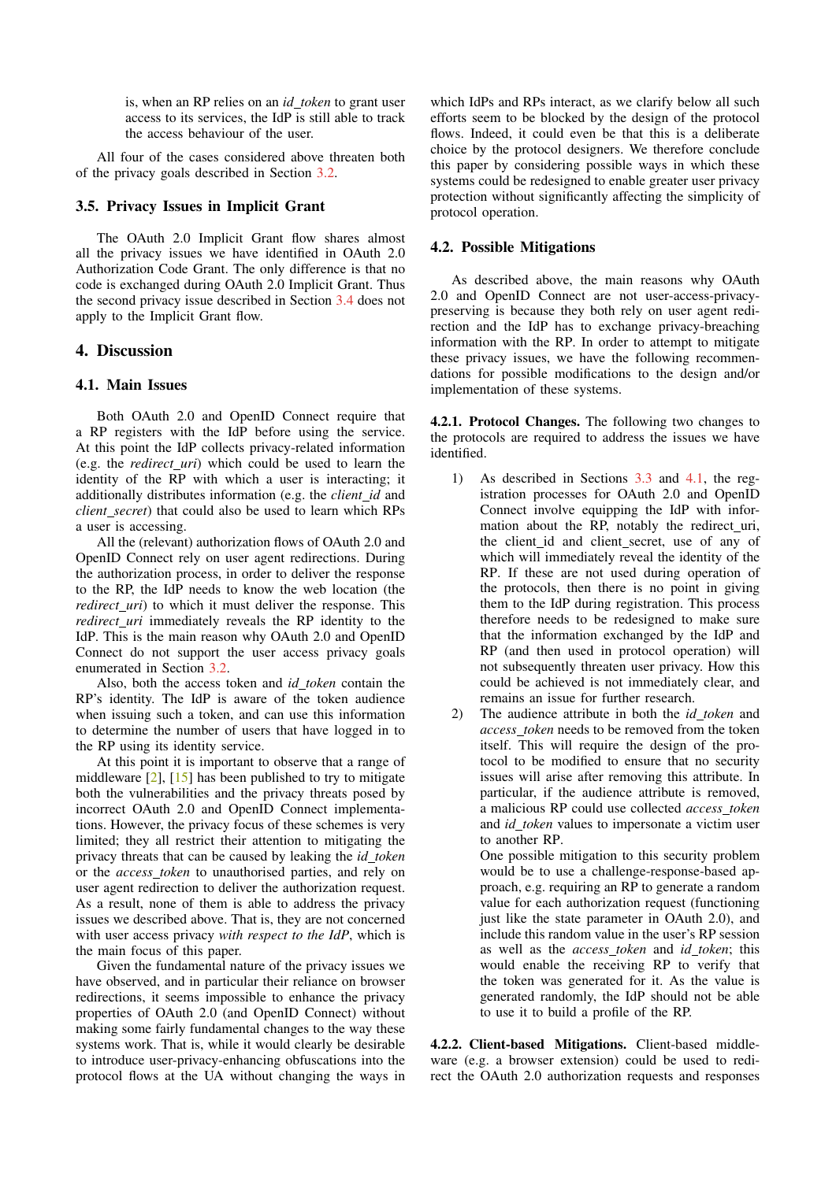is, when an RP relies on an *id token* to grant user access to its services, the IdP is still able to track the access behaviour of the user.

All four of the cases considered above threaten both of the privacy goals described in Section [3.2.](#page-4-2)

### 3.5. Privacy Issues in Implicit Grant

The OAuth 2.0 Implicit Grant flow shares almost all the privacy issues we have identified in OAuth 2.0 Authorization Code Grant. The only difference is that no code is exchanged during OAuth 2.0 Implicit Grant. Thus the second privacy issue described in Section [3.4](#page-4-3) does not apply to the Implicit Grant flow.

### <span id="page-5-0"></span>4. Discussion

#### <span id="page-5-1"></span>4.1. Main Issues

Both OAuth 2.0 and OpenID Connect require that a RP registers with the IdP before using the service. At this point the IdP collects privacy-related information (e.g. the *redirect uri*) which could be used to learn the identity of the RP with which a user is interacting; it additionally distributes information (e.g. the *client id* and *client secret*) that could also be used to learn which RPs a user is accessing.

All the (relevant) authorization flows of OAuth 2.0 and OpenID Connect rely on user agent redirections. During the authorization process, in order to deliver the response to the RP, the IdP needs to know the web location (the *redirect\_uri*) to which it must deliver the response. This *redirect\_uri* immediately reveals the RP identity to the IdP. This is the main reason why OAuth 2.0 and OpenID Connect do not support the user access privacy goals enumerated in Section [3.2.](#page-4-2)

Also, both the access token and *id token* contain the RP's identity. The IdP is aware of the token audience when issuing such a token, and can use this information to determine the number of users that have logged in to the RP using its identity service.

At this point it is important to observe that a range of middleware  $\lceil 2 \rceil$ ,  $\lceil 15 \rceil$  has been published to try to mitigate both the vulnerabilities and the privacy threats posed by incorrect OAuth 2.0 and OpenID Connect implementations. However, the privacy focus of these schemes is very limited; they all restrict their attention to mitigating the privacy threats that can be caused by leaking the *id token* or the *access token* to unauthorised parties, and rely on user agent redirection to deliver the authorization request. As a result, none of them is able to address the privacy issues we described above. That is, they are not concerned with user access privacy *with respect to the IdP*, which is the main focus of this paper.

Given the fundamental nature of the privacy issues we have observed, and in particular their reliance on browser redirections, it seems impossible to enhance the privacy properties of OAuth 2.0 (and OpenID Connect) without making some fairly fundamental changes to the way these systems work. That is, while it would clearly be desirable to introduce user-privacy-enhancing obfuscations into the protocol flows at the UA without changing the ways in

which IdPs and RPs interact, as we clarify below all such efforts seem to be blocked by the design of the protocol flows. Indeed, it could even be that this is a deliberate choice by the protocol designers. We therefore conclude this paper by considering possible ways in which these systems could be redesigned to enable greater user privacy protection without significantly affecting the simplicity of protocol operation.

### 4.2. Possible Mitigations

As described above, the main reasons why OAuth 2.0 and OpenID Connect are not user-access-privacypreserving is because they both rely on user agent redirection and the IdP has to exchange privacy-breaching information with the RP. In order to attempt to mitigate these privacy issues, we have the following recommendations for possible modifications to the design and/or implementation of these systems.

4.2.1. Protocol Changes. The following two changes to the protocols are required to address the issues we have identified.

- 1) As described in Sections [3.3](#page-4-4) and [4.1,](#page-5-1) the registration processes for OAuth 2.0 and OpenID Connect involve equipping the IdP with information about the RP, notably the redirect\_uri, the client id and client secret, use of any of which will immediately reveal the identity of the RP. If these are not used during operation of the protocols, then there is no point in giving them to the IdP during registration. This process therefore needs to be redesigned to make sure that the information exchanged by the IdP and RP (and then used in protocol operation) will not subsequently threaten user privacy. How this could be achieved is not immediately clear, and remains an issue for further research.
- 2) The audience attribute in both the *id token* and *access token* needs to be removed from the token itself. This will require the design of the protocol to be modified to ensure that no security issues will arise after removing this attribute. In particular, if the audience attribute is removed, a malicious RP could use collected *access token* and *id token* values to impersonate a victim user to another RP.

One possible mitigation to this security problem would be to use a challenge-response-based approach, e.g. requiring an RP to generate a random value for each authorization request (functioning just like the state parameter in OAuth 2.0), and include this random value in the user's RP session as well as the *access token* and *id token*; this would enable the receiving RP to verify that the token was generated for it. As the value is generated randomly, the IdP should not be able to use it to build a profile of the RP.

4.2.2. Client-based Mitigations. Client-based middleware (e.g. a browser extension) could be used to redirect the OAuth 2.0 authorization requests and responses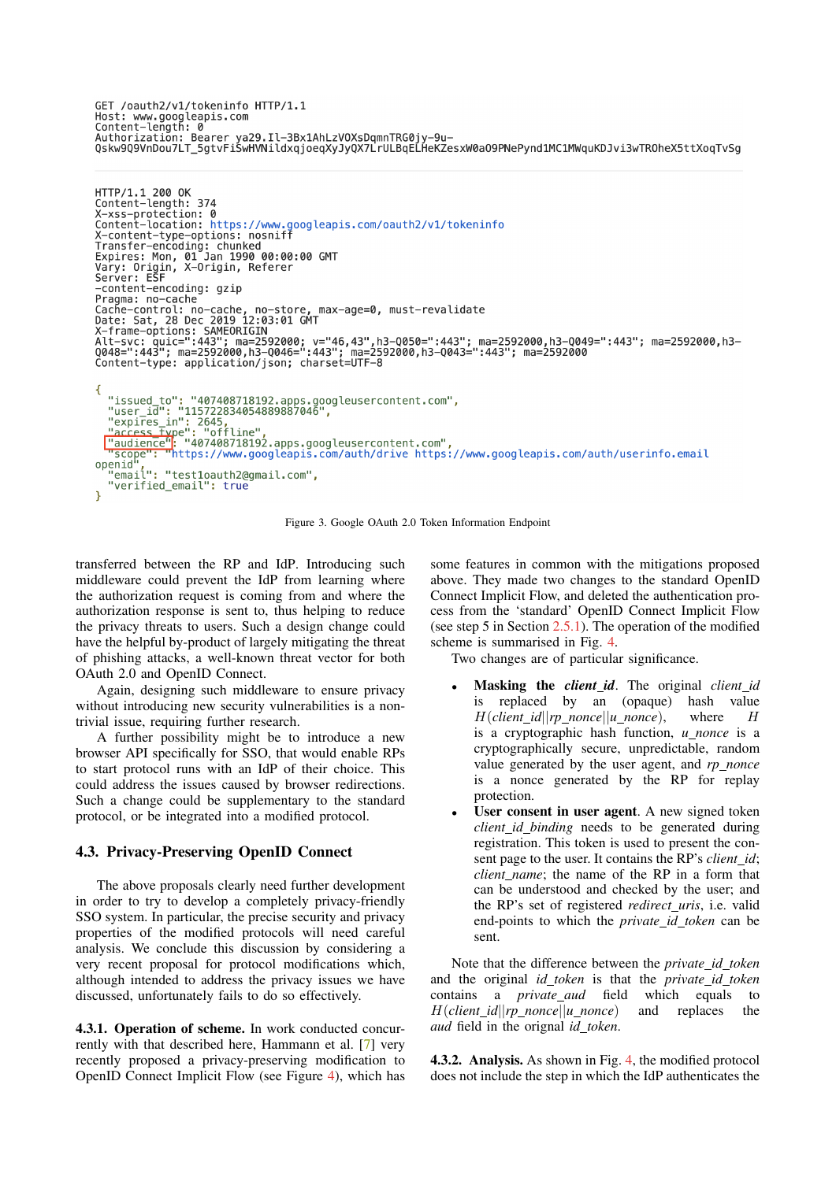GET /oauth2/v1/tokeninfo HTTP/1.1 GET /oauchz/vi/tokeninio hiiP/i.i<br>Host: www.googleapis.com<br>Content—length: 0<br>Authorization: Bearer ya29.Il—3Bx1AhLzV0XsDqmnTRG0jy—9u—<br>Qskw9Q9VnDou7LT\_5gtvFiSwHVNildxqjoeqXyJyQX7LrULBqELHeKZesxW0a09PNePynd1MC1MWquKDJvi3wTR

```
HTTP/1.1 200 OK<br>Content-length: 374
Content-length: 374<br>X-xss-protection: 0<br>Content-location: https://www.googleapis.com/oauth2/v1/tokeninfo<br>X-content-type-options: nosniff<br>Transfer-encoding: chunked<br>Expires: Mon, 01 Jan 1990 00:00:00 GMT<br>Vary: Origin, X-Ori
Pragma: no-cache
ragma: in-cacine<br>Date: Sat, 28 Dec 2019 12:03:01 GMT<br>X-frame-options: SAMEORIGIN<br>X-frame-options: SAMEORIGIN<br>Alt-svc: quic=":443"; ma=2592000; v="46,43",h3-0050=":443"; ma=2592000,h3-0049=":443"; ma=2592000,h3-<br>Q048=":443"
Content-type: application/json; charset=UTF-8
\mathcal{L}_{\mathcal{L}}"issued_to": "407408718192.apps.googleusercontent.com",<br>"user_id": "115722834054889887046",<br>"expires_in": 2645,<br>"access_type": "offline",<br>"access_type": "d7408718192.apps.googleusercontent.com",<br>"scope": "https://www.googl
openid
     enid",<br>"email": "test1oauth2@gmail.com",<br>"verified_email": true
```
<span id="page-6-1"></span>Figure 3. Google OAuth 2.0 Token Information Endpoint

transferred between the RP and IdP. Introducing such middleware could prevent the IdP from learning where the authorization request is coming from and where the authorization response is sent to, thus helping to reduce the privacy threats to users. Such a design change could have the helpful by-product of largely mitigating the threat of phishing attacks, a well-known threat vector for both OAuth 2.0 and OpenID Connect.

Again, designing such middleware to ensure privacy without introducing new security vulnerabilities is a nontrivial issue, requiring further research.

A further possibility might be to introduce a new browser API specifically for SSO, that would enable RPs to start protocol runs with an IdP of their choice. This could address the issues caused by browser redirections. Such a change could be supplementary to the standard protocol, or be integrated into a modified protocol.

#### <span id="page-6-0"></span>4.3. Privacy-Preserving OpenID Connect

The above proposals clearly need further development in order to try to develop a completely privacy-friendly SSO system. In particular, the precise security and privacy properties of the modified protocols will need careful analysis. We conclude this discussion by considering a very recent proposal for protocol modifications which, although intended to address the privacy issues we have discussed, unfortunately fails to do so effectively.

4.3.1. Operation of scheme. In work conducted concurrently with that described here, Hammann et al. [\[7\]](#page-8-15) very recently proposed a privacy-preserving modification to OpenID Connect Implicit Flow (see Figure [4\)](#page-7-1), which has some features in common with the mitigations proposed above. They made two changes to the standard OpenID Connect Implicit Flow, and deleted the authentication process from the 'standard' OpenID Connect Implicit Flow (see step 5 in Section  $2.5.1$ ). The operation of the modified scheme is summarised in Fig. [4.](#page-7-1)

Two changes are of particular significance.

- Masking the *client id*. The original *client id* is replaced by an (opaque) hash value  $H(client_id||rp\_nonce||u\_nonce),$  where H is a cryptographic hash function, *u nonce* is a cryptographically secure, unpredictable, random value generated by the user agent, and *rp nonce* is a nonce generated by the RP for replay protection.
- User consent in user agent. A new signed token *client id binding* needs to be generated during registration. This token is used to present the consent page to the user. It contains the RP's *client id*; *client name*; the name of the RP in a form that can be understood and checked by the user; and the RP's set of registered *redirect uris*, i.e. valid end-points to which the *private id token* can be sent.

Note that the difference between the *private id token* and the original *id token* is that the *private id token* contains a *private aud* field which equals to H(*client id*||*rp nonce*||*u nonce*) and replaces the *aud* field in the orignal *id token*.

**4.3.2. Analysis.** As shown in Fig. [4,](#page-7-1) the modified protocol does not include the step in which the IdP authenticates the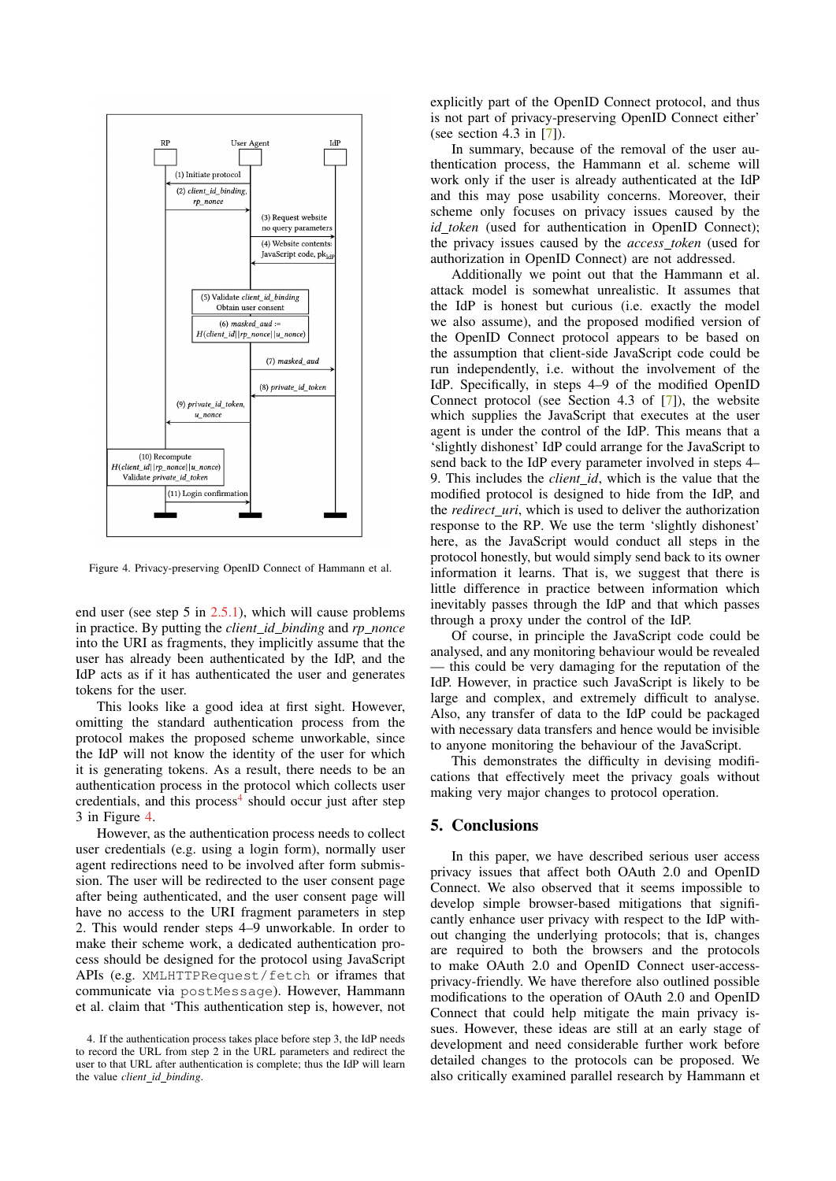

<span id="page-7-1"></span>Figure 4. Privacy-preserving OpenID Connect of Hammann et al.

end user (see step 5 in [2.5.1\)](#page-2-2), which will cause problems in practice. By putting the *client id binding* and *rp nonce* into the URI as fragments, they implicitly assume that the user has already been authenticated by the IdP, and the IdP acts as if it has authenticated the user and generates tokens for the user.

This looks like a good idea at first sight. However, omitting the standard authentication process from the protocol makes the proposed scheme unworkable, since the IdP will not know the identity of the user for which it is generating tokens. As a result, there needs to be an authentication process in the protocol which collects user credentials, and this process<sup>[4](#page-7-2)</sup> should occur just after step 3 in Figure [4.](#page-7-1)

However, as the authentication process needs to collect user credentials (e.g. using a login form), normally user agent redirections need to be involved after form submission. The user will be redirected to the user consent page after being authenticated, and the user consent page will have no access to the URI fragment parameters in step 2. This would render steps 4–9 unworkable. In order to make their scheme work, a dedicated authentication process should be designed for the protocol using JavaScript APIs (e.g. XMLHTTPRequest/fetch or iframes that communicate via postMessage). However, Hammann et al. claim that 'This authentication step is, however, not

explicitly part of the OpenID Connect protocol, and thus is not part of privacy-preserving OpenID Connect either' (see section 4.3 in [\[7\]](#page-8-15)).

In summary, because of the removal of the user authentication process, the Hammann et al. scheme will work only if the user is already authenticated at the IdP and this may pose usability concerns. Moreover, their scheme only focuses on privacy issues caused by the *id token* (used for authentication in OpenID Connect); the privacy issues caused by the *access token* (used for authorization in OpenID Connect) are not addressed.

Additionally we point out that the Hammann et al. attack model is somewhat unrealistic. It assumes that the IdP is honest but curious (i.e. exactly the model we also assume), and the proposed modified version of the OpenID Connect protocol appears to be based on the assumption that client-side JavaScript code could be run independently, i.e. without the involvement of the IdP. Specifically, in steps 4–9 of the modified OpenID Connect protocol (see Section 4.3 of [\[7\]](#page-8-15)), the website which supplies the JavaScript that executes at the user agent is under the control of the IdP. This means that a 'slightly dishonest' IdP could arrange for the JavaScript to send back to the IdP every parameter involved in steps 4– 9. This includes the *client id*, which is the value that the modified protocol is designed to hide from the IdP, and the *redirect uri*, which is used to deliver the authorization response to the RP. We use the term 'slightly dishonest' here, as the JavaScript would conduct all steps in the protocol honestly, but would simply send back to its owner information it learns. That is, we suggest that there is little difference in practice between information which inevitably passes through the IdP and that which passes through a proxy under the control of the IdP.

Of course, in principle the JavaScript code could be analysed, and any monitoring behaviour would be revealed — this could be very damaging for the reputation of the IdP. However, in practice such JavaScript is likely to be large and complex, and extremely difficult to analyse. Also, any transfer of data to the IdP could be packaged with necessary data transfers and hence would be invisible to anyone monitoring the behaviour of the JavaScript.

This demonstrates the difficulty in devising modifications that effectively meet the privacy goals without making very major changes to protocol operation.

#### <span id="page-7-0"></span>5. Conclusions

In this paper, we have described serious user access privacy issues that affect both OAuth 2.0 and OpenID Connect. We also observed that it seems impossible to develop simple browser-based mitigations that significantly enhance user privacy with respect to the IdP without changing the underlying protocols; that is, changes are required to both the browsers and the protocols to make OAuth 2.0 and OpenID Connect user-accessprivacy-friendly. We have therefore also outlined possible modifications to the operation of OAuth 2.0 and OpenID Connect that could help mitigate the main privacy issues. However, these ideas are still at an early stage of development and need considerable further work before detailed changes to the protocols can be proposed. We also critically examined parallel research by Hammann et

<span id="page-7-2"></span><sup>4.</sup> If the authentication process takes place before step 3, the IdP needs to record the URL from step 2 in the URL parameters and redirect the user to that URL after authentication is complete; thus the IdP will learn the value *client id binding*.